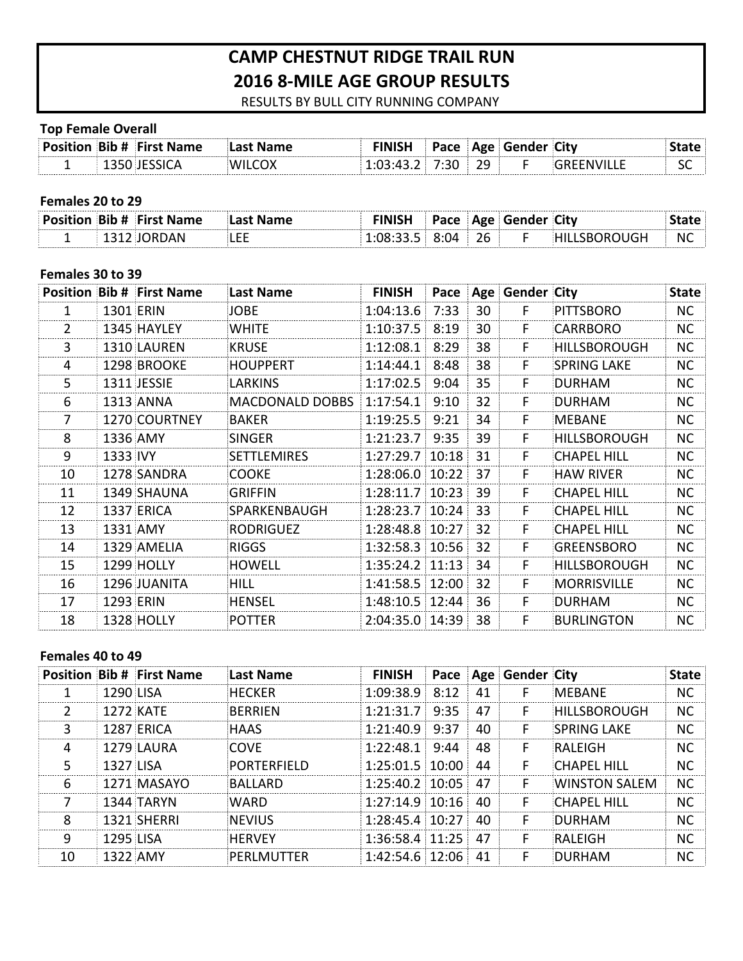# **CAMP CHESTNUT RIDGE TRAIL RUN 2016 8-MILE AGE GROUP RESULTS**

RESULTS BY BULL CITY RUNNING COMPANY

#### **Top Female Overall**

|  | Position Bib # First Name |  |           | Pace   Age   Gender   City |            |
|--|---------------------------|--|-----------|----------------------------|------------|
|  |                           |  | 7.30 : 29 |                            | $\sim$ St. |

# Females 20 to 29

|   | ים ואוחדים הוא ידי |     |  | Δσρ | . (SANNAR | útv |    |
|---|--------------------|-----|--|-----|-----------|-----|----|
| - |                    | --- |  | 7h  |           |     | N0 |

## Females 30 to 39

|    |           | <b>Position Bib # First Name</b> | Last Name              | <b>FINISH</b>    |      |    | Pace   Age   Gender   City |                     | <b>State</b> |
|----|-----------|----------------------------------|------------------------|------------------|------|----|----------------------------|---------------------|--------------|
| 1  | 1301 ERIN |                                  | JOBE                   | 1:04:13.6        | 7:33 | 30 | F                          | PITTSBORO           | <b>NC</b>    |
| 2  |           | 1345 HAYLEY                      | <b>WHITE</b>           | 1:10:37.5        | 8:19 | 30 | F.                         | <b>CARRBORO</b>     | <b>NC</b>    |
| 3  |           | 1310 LAUREN                      | <b>KRUSE</b>           | 1:12:08.1        | 8:29 | 38 | F                          | <b>HILLSBOROUGH</b> | <b>NC</b>    |
| 4  |           | 1298 BROOKE                      | <b>HOUPPERT</b>        | 1:14:44.1        | 8:48 | 38 | F                          | <b>SPRING LAKE</b>  | <b>NC</b>    |
| 5  |           | 1311 JESSIE                      | <b>LARKINS</b>         | 1:17:02.5        | 9:04 | 35 | F                          | <b>DURHAM</b>       | <b>NC</b>    |
| 6  |           | <b>1313 ANNA</b>                 | <b>MACDONALD DOBBS</b> | 1:17:54.1        | 9:10 | 32 | F                          | <b>DURHAM</b>       | <b>NC</b>    |
|    |           | 1270 COURTNEY                    | <b>BAKER</b>           | 1:19:25.5        | 9:21 | 34 | F                          | MEBANE              | <b>NC</b>    |
| 8  | 1336 AMY  |                                  | SINGER                 | $1:21:23.7$ 9:35 |      | 39 | F                          | <b>HILLSBOROUGH</b> | <b>NC</b>    |
| 9  | 1333 IVY  |                                  | SETTLEMIRES            | 1:27:29.7 10:18  |      | 31 | F                          | <b>CHAPEL HILL</b>  | <b>NC</b>    |
| 10 |           | 1278 SANDRA                      | COOKE                  | 1:28:06.0 10:22  |      | 37 | F                          | <b>HAW RIVER</b>    | <b>NC</b>    |
| 11 |           | 1349 SHAUNA                      | GRIFFIN                | 1:28:11.7 10:23  |      | 39 | F                          | <b>CHAPEL HILL</b>  | <b>NC</b>    |
| 12 |           | <b>1337 ERICA</b>                | SPARKENBAUGH           | 1:28:23.7 10:24  |      | 33 | F                          | <b>CHAPEL HILL</b>  | <b>NC</b>    |
| 13 | 1331 AMY  |                                  | RODRIGUEZ              | 1:28:48.8 10:27  |      | 32 | F                          | <b>CHAPEL HILL</b>  | NC.          |
| 14 |           | 1329 AMELIA                      | RIGGS                  | 1:32:58.3 10:56  |      | 32 | F                          | <b>GREENSBORO</b>   | <b>NC</b>    |
| 15 |           | <b>1299 HOLLY</b>                | <b>HOWELL</b>          | 1:35:24.2 11:13  |      | 34 | F                          | <b>HILLSBOROUGH</b> | <b>NC</b>    |
| 16 |           | 1296 JUANITA                     | <b>HILL</b>            | 1:41:58.5 12:00  |      | 32 | F                          | <b>MORRISVILLE</b>  | <b>NC</b>    |
| 17 | 1293 ERIN |                                  | <b>HENSEL</b>          | 1:48:10.5 12:44  |      | 36 | F                          | <b>DURHAM</b>       | NC.          |
| 18 |           | <b>1328 HOLLY</b>                | <b>POTTER</b>          | 2:04:35.0 14:39  |      | 38 | F                          | <b>BURLINGTON</b>   | <b>NC</b>    |

## **Females 40 to 49**

|    |                  | <b>Position Bib # First Name</b> | <b>Last Name</b> | FINISH               |    | <b>Pace Age Gender City</b> |                      | <b>State</b> |
|----|------------------|----------------------------------|------------------|----------------------|----|-----------------------------|----------------------|--------------|
|    | 1290 LISA        |                                  | HFCKFR           | $1:09:38.9$ $8:12$   | 41 |                             | <b>MFBANF</b>        | <b>NC</b>    |
| 2  |                  | <b>1272 KATF</b>                 | BFRRIFN          | $1:21:31.7$ 9:35     | 47 | F                           | <b>HILLSBOROUGH</b>  | NС           |
| 3  |                  | 1287 FRICA                       | <b>HAAS</b>      | $1:21:40.9$ 9:37     | 40 | F                           | <b>SPRING LAKE</b>   | NC.          |
| 4  |                  | 1279 LAURA                       | COVE             | $1:22:48.1$ 9:44     | 48 | F                           | RALFIGH              | NС           |
| 5  | <b>1327 LISA</b> |                                  | PORTFRFIFLD      | $1:25:01.5$ 10:00    | 44 | F                           | <b>CHAPFL HILL</b>   | NС           |
| 6  |                  | 1271 MASAYO                      | BALLARD          | $1:25:40.2$ 10:05 47 |    | F                           | <b>WINSTON SALFM</b> | <b>NC</b>    |
| 7  |                  | <b>1344 TARYN</b>                | WARD             | $1:27:14.9$ 10:16    | 40 | F                           | <b>CHAPFL HILL</b>   | NC.          |
| ጸ  |                  | 1321 SHERRI                      | <b>INFVILIS</b>  | $1:28:45.4$ 10:27 40 |    | F                           | DURHAM               | NС           |
| q  | <b>1295 LISA</b> |                                  | <b>HERVEY</b>    | $1:36:58.4$ 11:25    | 47 | F                           | RALFIGH              | NС           |
| 10 |                  | 1322 AMY                         | PFRLMUTTFR       | $1:42:54.6$ 12:06 41 |    |                             | DURHAM               | NС           |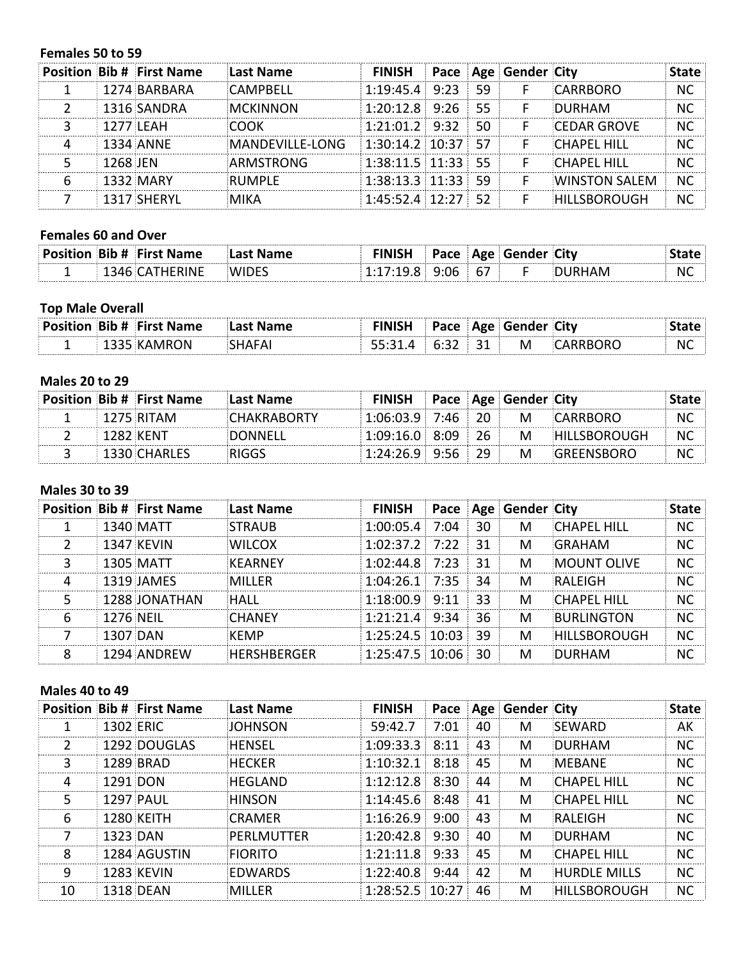#### Females 50 to 59

|          | <b>Position Bib # First Name</b> | Last Name        | <b>FINISH Pace Age Gender City</b> |      |    |                      | State     |
|----------|----------------------------------|------------------|------------------------------------|------|----|----------------------|-----------|
|          | 1274 BARBARA                     | CAMPBFLL         | $1:19:45.4$ 9:23 59                |      | -F | CARRBORO             | NС        |
|          | 1316 SANDRA                      | <b>MCKINNON</b>  | $1:20:12.8$ 9:26 55                |      |    | DURHAM               | NС        |
|          | 1277 LFAH                        | MONK             | $1:21:01.2$ 9:32                   | - 50 | F  | <b>CEDAR GROVE</b>   | <b>NC</b> |
|          | <b>1334 ANNE</b>                 | MANDEVILLE-LONG  | $1:30:14.2$ 10:37 57               |      |    | <b>CHAPFL HILL</b>   | NС        |
| 1268 IFN |                                  | <b>ARMSTRONG</b> | $1:38:11.5$ 11:33 55               |      | F  | CHAPFI HILL          | <b>NC</b> |
|          | 1332 MARY                        | RUMPLF!          | $1:38:13.3$ 11:33 59               |      |    | <b>WINSTON SALEM</b> | <b>NC</b> |
|          | 1317 SHFRYL                      | MIKA             | $1:45:52.4$ 12:27 52               |      |    | <b>HILLSBOROUGH</b>  |           |

# **Females 60 and Over**

|  | <b>Position Bib # First Name</b> |       |  |     | Pace   Age   Gender City |           |
|--|----------------------------------|-------|--|-----|--------------------------|-----------|
|  | <b>HERINE</b>                    | WU JE |  | -67 |                          | <b>NC</b> |

# **Top Male Overall**

|  | <b>Position Bib # First Name</b> |  | $P$ ace |        |   | Age   Gender   City   City |           |
|--|----------------------------------|--|---------|--------|---|----------------------------|-----------|
|  | ON.                              |  |         | $\sim$ | M | 1 R C                      | <b>NC</b> |

## **Males 20 to 29**

|             | <b>Position Bib # First Name</b> | :Last Name  | <b>FINISH</b> Pace Age Gender City |  |   |                     |     |
|-------------|----------------------------------|-------------|------------------------------------|--|---|---------------------|-----|
|             | $1275$ RITAM                     | ™HAKRAR∩RTY | 1:06:03.9 7:46 20                  |  | M | CARRBORO            | NC. |
| ⊟ 1282.KFNT |                                  | DONNELL     | $1.09.16.0$ 8.09 26                |  | M | <b>HILLSBOROUGH</b> | NC. |
|             | <b>E</b> 1330 CHARLES            | יההו        | $1:24:26.9$ 9:56 29                |  | M | <b>GREENSBORO</b>   | NC  |

## **Males 30 to 39**

|   |                  | <b>Position Bib # First Name</b> | Last Name          | <b>FINISH Pace Age Gender City</b> |     |   |                     | State     |
|---|------------------|----------------------------------|--------------------|------------------------------------|-----|---|---------------------|-----------|
|   |                  | 1340 MATT                        | <b>STRAUB</b>      | $1:00:05.4$ 7:04                   | 30  | M | <b>CHAPFL HILL</b>  | <b>NC</b> |
|   |                  | <b>1347 KEVIN</b>                | <b>WILCOX</b>      | $1:02:37.2$ 7:22                   | -31 | М | GRAHAM              | <b>NC</b> |
| 3 |                  | 1305 MATT                        | <b>KFARNFY</b>     | $1:02:44.8$ 7:23                   | 31  | M | <b>MOUNT OLIVE</b>  | <b>NC</b> |
| 4 |                  | 1319 JAMES                       | MILLFR             | $1:04:26.1$ 7:35                   | 34  | М | RALFIGH             | NC.       |
| 5 |                  | 1288 JONATHAN                    | ∃HAII              | $1:18:00.9$ 9:11                   | 33  | M | <b>CHAPFL HILL</b>  | NC.       |
| 6 | <b>1276 NEIL</b> |                                  | <b>CHANFY</b>      | $1:21:21.4$ 9:34                   | 36  | м | <b>BURLINGTON</b>   | <b>NC</b> |
|   |                  | 1307 DAN                         | <b>KFMP</b>        | $1:25:24.5$ 10:03                  | 39  | М | <b>HILLSBOROUGH</b> | <b>NC</b> |
| я |                  | 1294 ANDREW                      | <b>HERSHBERGER</b> | $1:25:47.5$ 10:06 30               |     | м | DURHAM              | NС        |

## **Males 40 to 49**

|    | <b>Position Bib # First Name</b> | Last Name      | <b>FINISH</b>     |      |    | Pace   Age   Gender   City |                     | <b>State</b> |
|----|----------------------------------|----------------|-------------------|------|----|----------------------------|---------------------|--------------|
|    | 1302 ERIC                        | <b>JOHNSON</b> | 59:42.7           | 7:01 | 40 | м                          | <b>SFWARD</b>       | AK           |
| 2  | 1292 DOUGLAS                     | <b>HENSEL</b>  | 1:09:33.3 8:11    |      | 43 | М                          | <b>DURHAM</b>       | NC.          |
| 3  | 1289 BRAD                        | <b>HECKER</b>  | 1:10:32.1         | 8:18 | 45 | М                          | <b>MFBANF</b>       | <b>NC</b>    |
| 4  | 1291 DON                         | HFGLAND        | $1:12:12.8$ 8:30  |      | 44 | М                          | <b>CHAPFL HILL</b>  | <b>NC</b>    |
| 5  | <b>1297 PAUL</b>                 | <b>HINSON</b>  | $1:14:45.6$ 8:48  |      | 41 | М                          | <b>CHAPFL HILL</b>  | <b>NC</b>    |
| 6  | <b>1280 KFITH</b>                | <b>CRAMFR</b>  | 1:16:26.9         | 9:00 | 43 | М                          | RALFIGH             | NC.          |
| 7  | 1323 DAN                         | PFRLMUTTFR     | $1:20:42.8$ 9:30  |      | 40 | М                          | <b>DURHAM</b>       | <b>NC</b>    |
| 8  | 1284 AGUSTIN                     | <b>FIORITO</b> | $1:21:11.8$ 9:33  |      | 45 | М                          | <b>CHAPFL HILL</b>  | <b>NC</b>    |
| 9  | <b>1283 KFVIN</b>                | FDWARDS        | $1:22:40.8$ 9:44  |      | 42 | М                          | <b>HURDLF MILLS</b> | NC.          |
| 10 | <b>1318 DFAN</b>                 | ∶MIITFR        | $1:28:52.5$ 10:27 |      | 46 | М                          | <b>HILLSBOROUGH</b> | <b>NC</b>    |